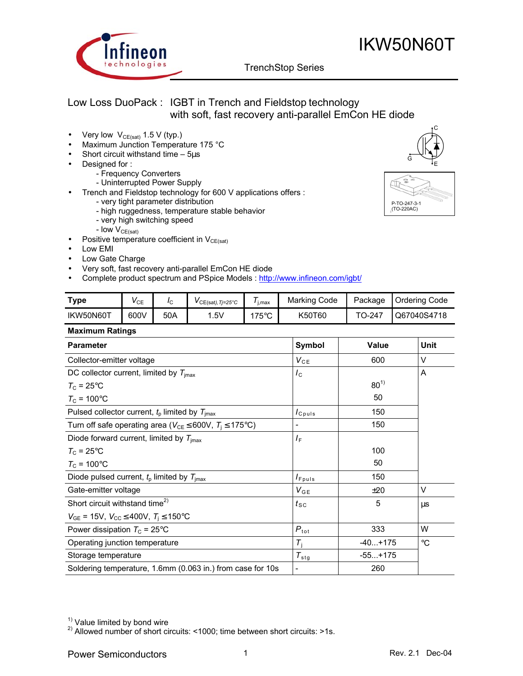

# IKW50N60T

G

P-TO-247-3-1 (TO-220AC)

C

E

# TrenchStop Series q

# Low Loss DuoPack : IGBT in Trench and Fieldstop technology with soft, fast recovery anti-parallel EmCon HE diode

- Very low  $V_{CE(sat)}$  1.5 V (typ.)
- Maximum Junction Temperature 175 °C
- Short circuit withstand time  $-5\mu s$
- Designed for :
	- Frequency Converters
	- Uninterrupted Power Supply
- Trench and Fieldstop technology for 600 V applications offers :
	- very tight parameter distribution
	- high ruggedness, temperature stable behavior
	- very high switching speed
	- Iow  $V_{CE(sat)}$
- Positive temperature coefficient in  $V_{CE(sat)}$
- Low EMI
- Low Gate Charge
- Very soft, fast recovery anti-parallel EmCon HE diode
- Complete product spectrum and PSpice Models : http://www.infineon.com/igbt/

| <b>Type</b> | V CE | ΙC  | $VCE(sat)$ , Tj=25°C | -<br>i.max         | Marking Code | Package | <b>Ordering Code</b> |
|-------------|------|-----|----------------------|--------------------|--------------|---------|----------------------|
| IKW50N60T   | 600V | 50A | .5V                  | 175 $\circ$ C<br>J | K50T60       | ГО-247  | Q67040S4718          |

### **Maximum Ratings**

| <b>Parameter</b>                                                              | <b>Symbol</b>                 | Value     | Unit            |
|-------------------------------------------------------------------------------|-------------------------------|-----------|-----------------|
| Collector-emitter voltage                                                     | $V_{CE}$                      | 600       | V               |
| DC collector current, limited by $T_{\text{imax}}$                            | $I_{\rm C}$                   |           | A               |
| $T_{\rm C}$ = 25°C                                                            |                               | $80^{1}$  |                 |
| $T_c$ = 100°C                                                                 |                               | 50        |                 |
| Pulsed collector current, $t_p$ limited by $T_{\text{imax}}$                  | $I_{C^{puls}}$                | 150       |                 |
| Turn off safe operating area ( $V_{CE} \leq 600V$ , $T_1 \leq 175^{\circ}C$ ) | -                             | 150       |                 |
| Diode forward current, limited by $T_{\text{imax}}$                           | ΙF                            |           |                 |
| $T_c = 25$ °C                                                                 |                               | 100       |                 |
| $T_{\rm C}$ = 100°C                                                           |                               | 50        |                 |
| Diode pulsed current, $t_{p}$ limited by $T_{\text{imax}}$                    | $I_{Fpuls}$                   | 150       |                 |
| Gate-emitter voltage                                                          | $V_{GE}$                      | ±20       | V               |
| Short circuit withstand time <sup>2)</sup>                                    | $t_{\scriptstyle\textrm{SC}}$ | 5         | μs              |
| $V_{GE}$ = 15V, $V_{CC} \leq 400V$ , $T_i \leq 150^{\circ}C$                  |                               |           |                 |
| Power dissipation $T_c = 25^{\circ}$ C                                        | $P_{\text{tot}}$              | 333       | W               |
| Operating junction temperature                                                | $T_i$                         | $-40+175$ | $\rm ^{\circ}C$ |
| Storage temperature                                                           | $\tau_{\text{stg}}$           | $-55+175$ |                 |
| Soldering temperature, 1.6mm (0.063 in.) from case for 10s                    | -                             | 260       |                 |

 $1)$  Value limited by bond wire

<sup>2)</sup> Allowed number of short circuits: <1000; time between short circuits: >1s.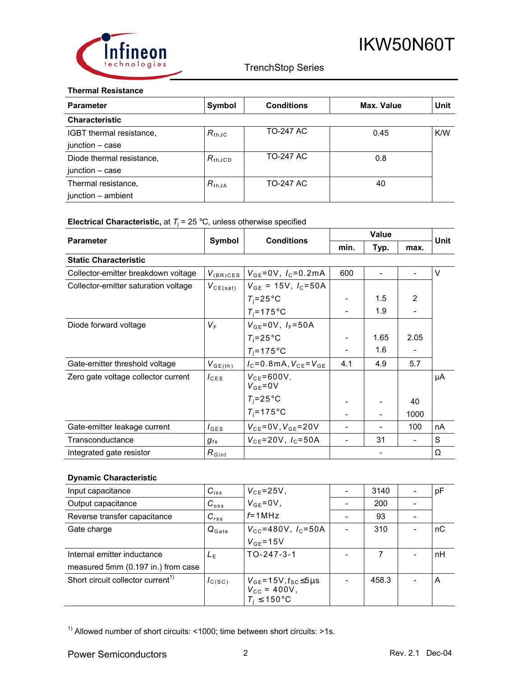

### **Thermal Resistance**

| <b>Parameter</b>          | Symbol      | <b>Conditions</b> | Max. Value | Unit       |
|---------------------------|-------------|-------------------|------------|------------|
| <b>Characteristic</b>     |             |                   |            |            |
| IGBT thermal resistance,  | $R_{th,IC}$ | TO-247 AC         | 0.45       | <b>K/W</b> |
| junction – case           |             |                   |            |            |
| Diode thermal resistance, | $R_{thJCD}$ | <b>TO-247 AC</b>  | 0.8        |            |
| junction - case           |             |                   |            |            |
| Thermal resistance,       | $R_{thJA}$  | <b>TO-247 AC</b>  | 40         |            |
| junction - ambient        |             |                   |            |            |

## **Electrical Characteristic,** at  $T_j = 25$  °C, unless otherwise specified

| <b>Parameter</b>                     |                                      | <b>Conditions</b>                   | <b>Value</b> |      |                | Unit |
|--------------------------------------|--------------------------------------|-------------------------------------|--------------|------|----------------|------|
|                                      | Symbol                               |                                     | min.         | Typ. | max.           |      |
| <b>Static Characteristic</b>         |                                      |                                     |              |      |                |      |
| Collector-emitter breakdown voltage  | $V_{(BR)CES}$                        | $V_{GE} = 0V$ , $I_C = 0.2mA$       | 600          |      |                | V    |
| Collector-emitter saturation voltage | $V_{CE(sat)}$                        | $V_{GE}$ = 15V, $I_C$ =50A          |              |      |                |      |
|                                      |                                      | $T_i = 25^{\circ}$ C                |              | 1.5  | $\overline{2}$ |      |
|                                      |                                      | $T_i = 175$ °C                      |              | 1.9  |                |      |
| Diode forward voltage                | V <sub>F</sub>                       | $V_{GE} = 0V, I_F = 50A$            |              |      |                |      |
|                                      |                                      | $T_i = 25^{\circ}$ C                |              | 1.65 | 2.05           |      |
|                                      |                                      | $T_i = 175$ °C                      |              | 1.6  |                |      |
| Gate-emitter threshold voltage       | $V_{GE(th)}$                         | $I_{C} = 0.8$ mA, $V_{CE} = V_{GE}$ | 4.1          | 4.9  | 5.7            |      |
| Zero gate voltage collector current  | $I_{\text{CES}}$                     | $V_{CE} = 600V$ ,<br>$V_{GE} = 0V$  |              |      |                | μA   |
|                                      |                                      | $T_i = 25^{\circ}$ C                |              |      | 40             |      |
|                                      |                                      | $T_i = 175$ °C                      |              |      | 1000           |      |
| Gate-emitter leakage current         | $I_{\text{GES}}$                     | $V_{CE} = 0V, V_{GE} = 20V$         |              |      | 100            | nA   |
| Transconductance                     | $g_{\scriptscriptstyle \mathrm{fs}}$ | $V_{CF} = 20V, I_C = 50A$           |              | 31   |                | S    |
| Integrated gate resistor             | $R_{Gint}$                           |                                     |              |      |                | Ω    |

## **Dynamic Characteristic**

| Input capacitance                             | $C_{iss}$         | $V_{CE} = 25V$ ,                                                                    | 3140  | pF |
|-----------------------------------------------|-------------------|-------------------------------------------------------------------------------------|-------|----|
| Output capacitance                            | $C_{\text{oss}}$  | $V_{GE} = 0V$ ,                                                                     | 200   |    |
| Reverse transfer capacitance                  | $C_{rss}$         | $f = 1 MHz$                                                                         | 93    |    |
| Gate charge                                   | $Q_{\text{Gate}}$ | $V_{\text{CC}} = 480V, I_{\text{C}} = 50A$                                          | 310   | nC |
|                                               |                   | $V_{GE}$ =15V                                                                       |       |    |
| Internal emitter inductance                   | $L_{\rm F}$       | $TO - 247 - 3 - 1$                                                                  | 7     | nH |
| measured 5mm (0.197 in.) from case            |                   |                                                                                     |       |    |
| Short circuit collector current <sup>1)</sup> | $I_{C(SC)}$       | $V_{GE}$ =15V, $t_{SC}$ ≤5µs<br>$V_{\text{cc}}$ = 400V,<br>$T_i \leq 150^{\circ}$ C | 458.3 | A  |

<sup>1)</sup> Allowed number of short circuits: <1000; time between short circuits: >1s.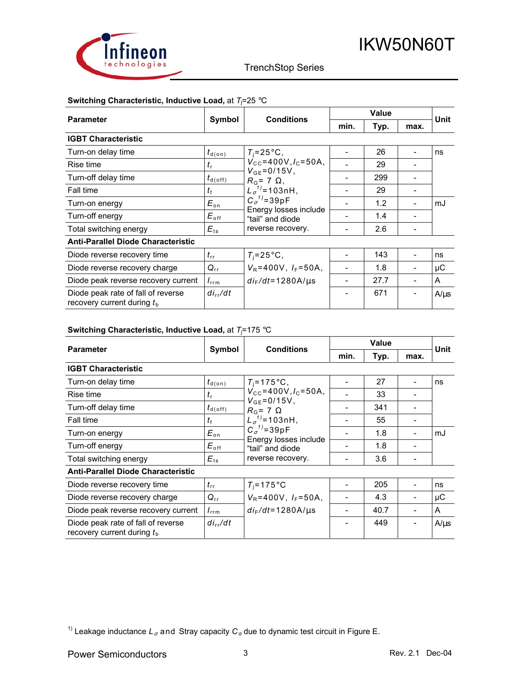

## **Switching Characteristic, Inductive Load,** at *T*<sup>j</sup> =25 °C

| <b>Parameter</b>                                                   |                      | <b>Conditions</b>                                           | <b>Value</b> |      |      | Unit      |
|--------------------------------------------------------------------|----------------------|-------------------------------------------------------------|--------------|------|------|-----------|
|                                                                    | Symbol               |                                                             | min.         | Typ. | max. |           |
| <b>IGBT Characteristic</b>                                         |                      |                                                             |              |      |      |           |
| Turn-on delay time                                                 | $t_{\text{d}(on)}$   | $T_i = 25^{\circ}C$ ,                                       |              | 26   |      | ns        |
| Rise time                                                          | $t_{\rm r}$          | $V_{\rm CC}$ =400V, $I_{\rm C}$ =50A,<br>$V_{GE} = 0/15V$ , |              | 29   |      |           |
| Turn-off delay time                                                | $t_{\sf d(\sf off)}$ | $R_{\rm G}$ = 7 $\Omega$ ,                                  |              | 299  |      |           |
| Fall time                                                          | $t_{\rm f}$          | $L_{\sigma}^{1}$ =103nH,                                    |              | 29   |      |           |
| Turn-on energy                                                     | $E_{\rm on}$         | $C_{\sigma}^{1}$ =39pF                                      |              | 1.2  |      | mJ        |
| Turn-off energy                                                    | $E_{\mathsf{off}}$   | Energy losses include<br>"tail" and diode                   |              | 1.4  |      |           |
| Total switching energy                                             | $E_{\text{ts}}$      | reverse recovery.                                           |              | 2.6  |      |           |
| <b>Anti-Parallel Diode Characteristic</b>                          |                      |                                                             |              |      |      |           |
| Diode reverse recovery time                                        | $t_{\rm rr}$         | $T_i = 25^{\circ}C$ ,                                       |              | 143  |      | ns        |
| Diode reverse recovery charge                                      | $Q_{rr}$             | $V_R = 400V$ , $I_F = 50A$ ,                                |              | 1.8  |      | μC        |
| Diode peak reverse recovery current                                | $I_{\text{rrm}}$     | $di_F/dt = 1280A/\mu s$                                     |              | 27.7 |      | A         |
| Diode peak rate of fall of reverse<br>recovery current during $th$ | $di_{rr}/dt$         |                                                             |              | 671  |      | $A/\mu s$ |

## **Switching Characteristic, Inductive Load,** at *T*<sup>j</sup> =175 °C

| <b>Parameter</b>                                                   | Symbol                         | <b>Conditions</b>                                   | Value |      |      | Unit      |
|--------------------------------------------------------------------|--------------------------------|-----------------------------------------------------|-------|------|------|-----------|
|                                                                    |                                |                                                     | min.  | Typ. | max. |           |
| <b>IGBT Characteristic</b>                                         |                                |                                                     |       |      |      |           |
| Turn-on delay time                                                 | $t_{\text{d}(on)}$             | $T_i = 175^{\circ}C$ ,                              |       | 27   |      | ns        |
| Rise time                                                          | $t_{\rm r}$                    | $V_{\rm CC}$ =400V, $I_{\rm C}$ =50A,               |       | 33   |      |           |
| Turn-off delay time                                                | $t_{\textsf{d}(\textsf{off})}$ | $V_{GE} = 0/15V$ ,<br>$R_{\rm G}$ = 7 $\Omega$      |       | 341  |      |           |
| Fall time                                                          | tŧ                             | $L_{\sigma}^{1}$ = 103nH,<br>$C_{\sigma}^{1}$ =39pF |       | 55   |      |           |
| Turn-on energy                                                     | $E_{\rm on}$                   |                                                     |       | 1.8  |      | mJ        |
| Turn-off energy                                                    | $E_{\mathsf{off}}$             | Energy losses include<br>"tail" and diode           |       | 1.8  |      |           |
| Total switching energy                                             | $E_{ts}$                       | reverse recovery.                                   |       | 3.6  |      |           |
| <b>Anti-Parallel Diode Characteristic</b>                          |                                |                                                     |       |      |      |           |
| Diode reverse recovery time                                        | $t_{\rm rr}$                   | $T_i = 175$ °C                                      |       | 205  |      | ns        |
| Diode reverse recovery charge                                      | $Q_{rr}$                       | $V_R = 400V$ , $I_F = 50A$ ,                        |       | 4.3  |      | μC        |
| Diode peak reverse recovery current                                | $I_{\text{rrm}}$               | $di_F/dt = 1280A/\mu s$                             |       | 40.7 |      | A         |
| Diode peak rate of fall of reverse<br>recovery current during $tb$ | $di_{rr}/dt$                   |                                                     |       | 449  |      | $A/\mu s$ |

<sup>1)</sup> Leakage inductance  $L_{\sigma}$  and Stray capacity  $C_{\sigma}$  due to dynamic test circuit in Figure E.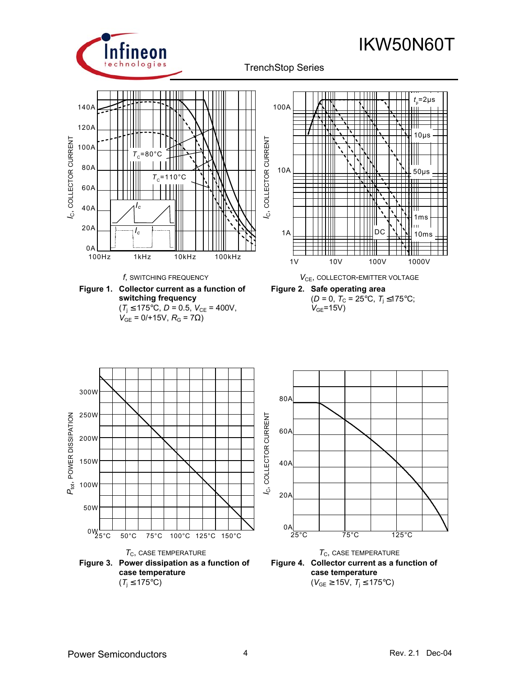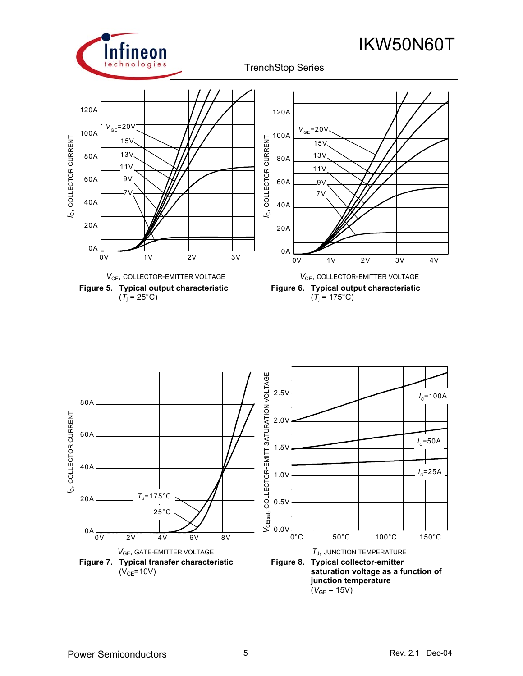

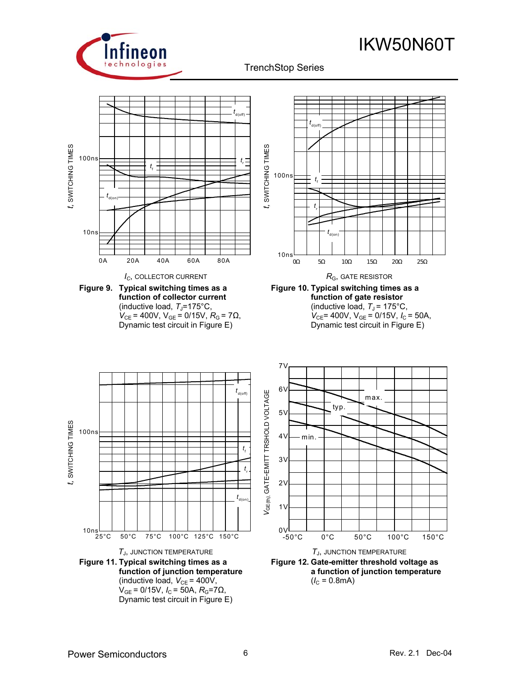



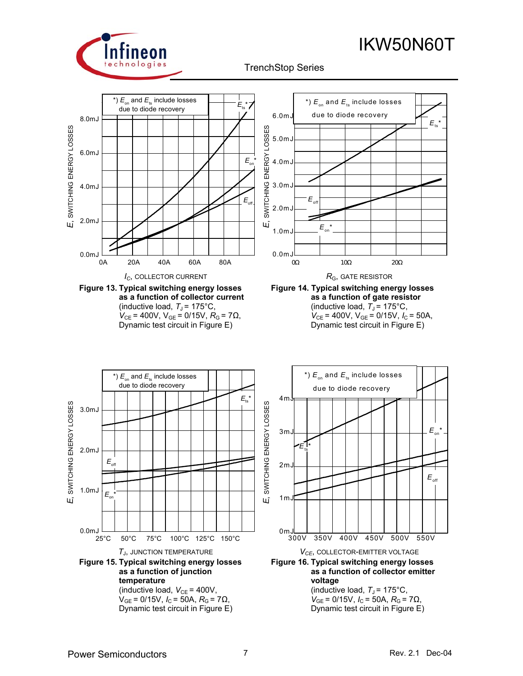# IKW50N60T



TrenchStop Series q







 $V_{GE}$  = 0/15V,  $I_C$  = 50A,  $R_G$  = 7Ω, Dynamic test circuit in Figure E)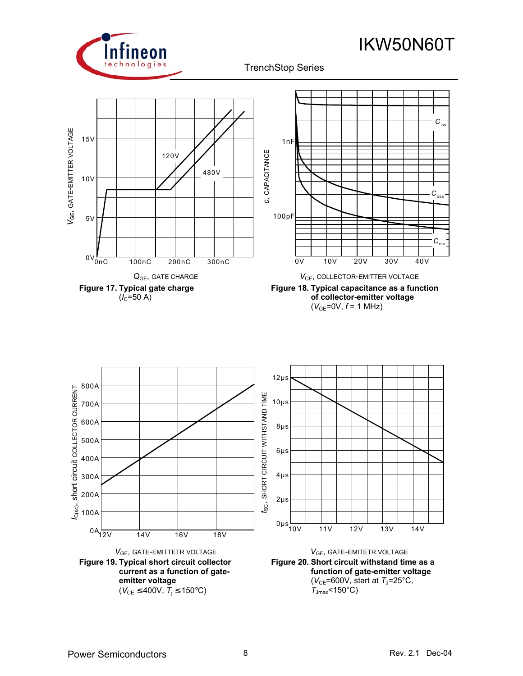

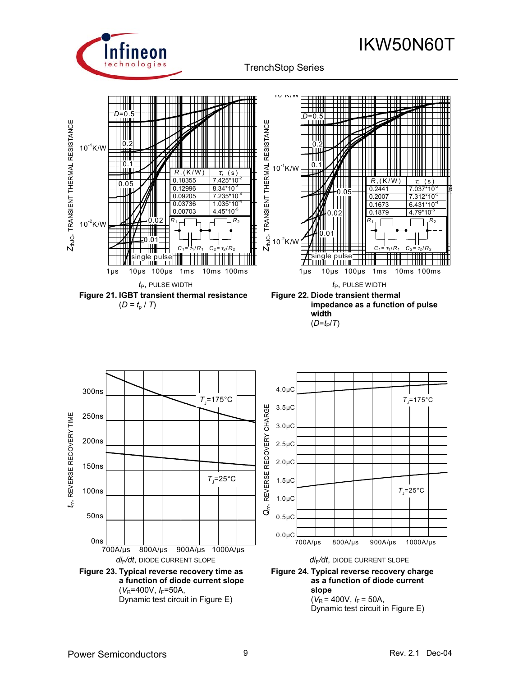

IKW50N60T



*di*F*/dt*, DIODE CURRENT SLOPE *di*F*/dt*, DIODE CURRENT SLOPE **Figure 23. Typical reverse recovery time as** 

**Figure 24. Typical reverse recovery charge as a function of diode current slope**   $(V_R = 400V, I_F = 50A,$ 

Dynamic test circuit in Figure E)

**a function of diode current slope** 

Dynamic test circuit in Figure E)

( $V_R$ =400V,  $I_F$ =50A,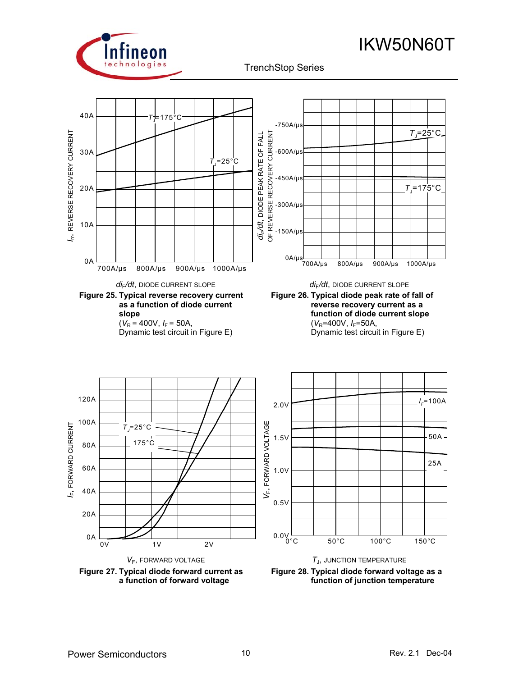



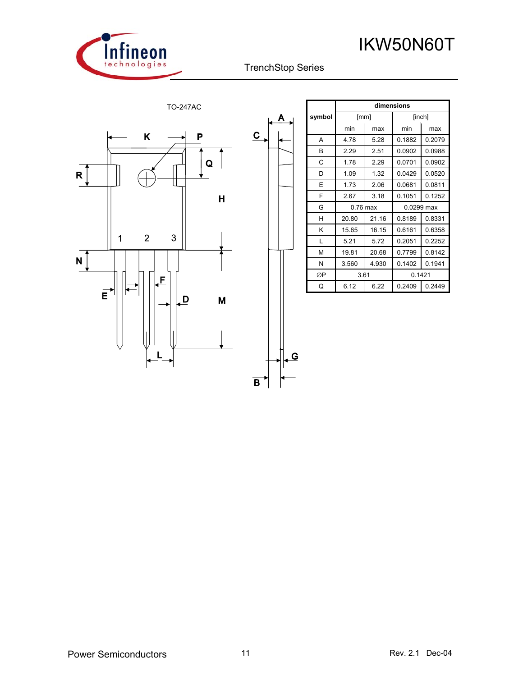



Α

LG



|        |          |       | dimensions |        |  |  |
|--------|----------|-------|------------|--------|--|--|
| symbol | [mm]     |       | [inch]     |        |  |  |
|        | min      | max   | min        | max    |  |  |
| A      | 4.78     | 5.28  | 0.1882     | 0.2079 |  |  |
| B      | 2.29     | 2.51  | 0.0902     | 0.0988 |  |  |
| C      | 1.78     | 2.29  | 0.0701     | 0.0902 |  |  |
| D      | 1.09     | 1.32  | 0.0429     | 0.0520 |  |  |
| E      | 1.73     | 2.06  | 0.0681     | 0.0811 |  |  |
| F      | 2.67     | 3.18  | 0.1051     | 0.1252 |  |  |
| G      | 0.76 max |       | 0.0299 max |        |  |  |
| н      | 20.80    | 21.16 | 0.8189     | 0.8331 |  |  |
| Κ      | 15.65    | 16.15 | 0.6161     | 0.6358 |  |  |
| L      | 5.21     | 5.72  | 0.2051     | 0.2252 |  |  |
| М      | 19.81    | 20.68 | 0.7799     | 0.8142 |  |  |
| N      | 3.560    | 4.930 | 0.1402     | 0.1941 |  |  |
| ØP     |          | 3.61  |            | 0.1421 |  |  |
| Q      | 6.12     | 6.22  | 0.2409     | 0.2449 |  |  |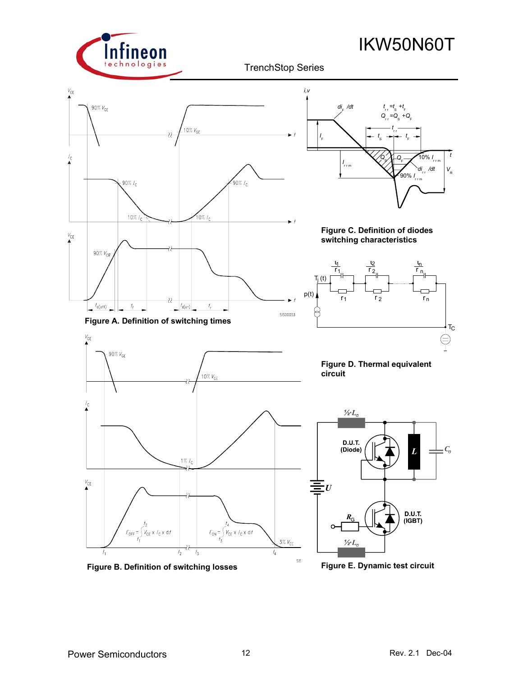